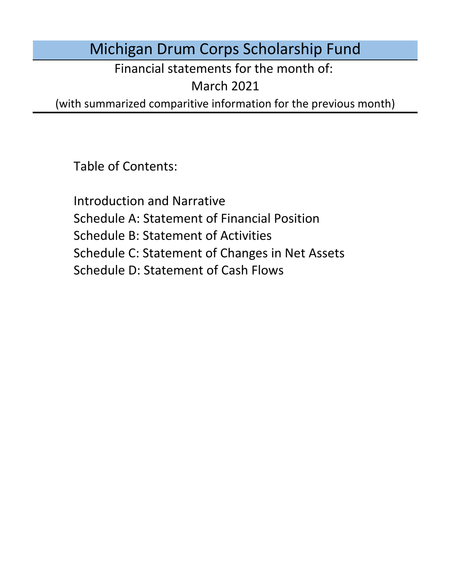# Michigan Drum Corps Scholarship Fund

Financial statements for the month of:

March 2021

(with summarized comparitive information for the previous month)

Table of Contents:

Schedule D: Statement of Cash Flows Introduction and Narrative Schedule A: Statement of Financial Position Schedule B: Statement of Activities Schedule C: Statement of Changes in Net Assets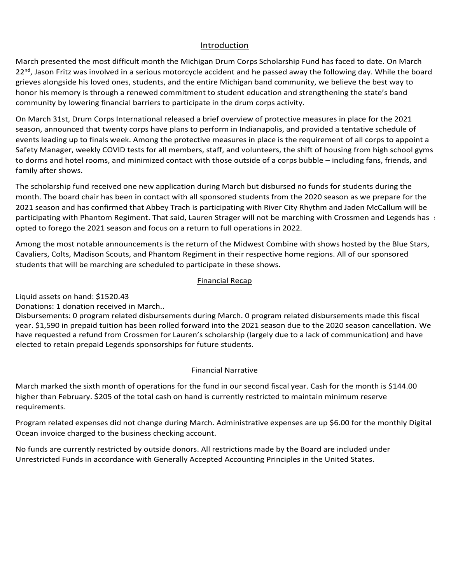### Introduction Introduction Introduction

Introduction<br>March presented the most difficult month the Michigan Drum Corps Scholarship Fund has faced to date. On March Introduction<br>March presented the most difficult month the Michigan Drum Corps Scholarship Fund has faced to date. On March<br>22<sup>nd</sup>, Jason Fritz was involved in a serious motorcycle accident and he passed away the following grieves alongside his loved ones, students, and the entire Michigan band community, we believe the best way to honor his memory is through a renewed commitment to student education and strengthening the state's band<br>expansion the control of the control of the control of the control of the control of the control of the state' community by lowering financial barriers to participate in the drum corps activity. from August 12 – 14 with notes that subcommittee meetings were ongoing for the and discussions were only the annual for the annual for the annual for the annual for the annual for the annual for the annual for the annual f nonor momentory is an ough a renewed communicint to stadent education and strengthering the state sizal commantly by forcering miancial barriers to participate in the aram corps activity. March 2016, President Biden and the Wedited That the United States is on the United States in participate is o<br>In unity by lowering financial barriers to participate in the drum cerns activity. community by lowering financial barriers to participate in the drum corps activity.

On March 31st, Drum Corps International released a brief overview of protective measures in place for the 2021<br>Season, announced that twenty sease bave plans to nerform in Indianapolis, and provided a tentative schodule of season, announced that twenty cor events leading up to finals week. Among the protective measures in place is the requirement of all corps to appoint a<br>Safety Manager, weekly COVID tests for all members, staff, and volunteers, the shift of housing from hig Safety Manager, weekly COVID tests for all members, staff, and volunteers, the shift of housing from high school gym lst, Drum Corps International released a br<br>bunced that twenty corps have plans to per<br>ng up to finals week. Among the protective bancity manager, weekly ebond tests for an intensive system, and volumeers, the simple including from high sensor gyms<br>to dorms and hotel rooms, and minimized contact with those outside of a corps bubble – including fans, family after shows. Sir March 31st, Druhr Corps international released a brief overview of protective measures in place for the 2021<br>season, announced that twenty corps have plans to perform in Indianapolis, and provided a tentative schedule to 2021 if the students elect to carry their contract into 2021. Legends is currently operating on a case-byived in a serious motorcycle accident and he passed away the following day. While the board ones, students, and the entire Michigan band community, we believe the best way to ugh a renewed commitment to student education a nonth the Michigan Drum Corps Scholarship Furd has faced to date. On March othotions motorcycle accident and he passed away the following day. While the boshielns, and the entire Michigan band community, we believe the bes Ibe also noted that corps directors are corps directors are currently discussions of pandemic may have part of and were in danger of the were unable to raise enough funds to raise enough funds to recover on the were only to recover on the were unable to cover on the were under the were under the were only to cover ough funds to cov nts leading up to finals week. Among the protective measures in place is the requirement of all corps to appoint a<br>ety Manager, weekly COVID tests for all members, staff, and volunteers, the shift of housing from high scho to dorms and noter rooms, and mimimized contact with those outside or a corps babble – melading fans, mellas, and<br>family after shows virtual drum major and leadership clinical as well as a new Experiment Lesson Series designed for beginning the students. Safety Manager, weekly COVID tests for all members, staff, and volunteers, the shift of housing from high school gyms platforms for virtual instruction and audition camps. Phantom Regiment  $P$ 

The scholarship fund received one new application during March but disbursed no funds for students during the<br>month. The board chair has been in contact with all sponsored students from the 2020 season as we prepare for th 2021 season and has confirmed that Abbey Trach is participating with River City Rhythm and Jaden McCallum will be participating with Phantom Regiment. That said, Lauren Strager will not be marching with Crossmen and Legends has Program relation relationship January. Administrative expenses are up \$6.000 for the up \$6.000 for the up \$6.000 for the up \$6.000 for the up \$6.000 for the up \$6.000 for the up \$6.000 for the up \$6.00 for the up \$6.00 for Final The scholarship fund received one new application during March but disbursed no funds for students during the<br>The scholarship fund received one new application during March but disbursed no funds for students during increased \$1,340 for tuition disbursements during February. Administrative opted to forego the 2021 season and focus on a return to full operations in 2022. The scholarship fund received one new application during March but disbursed no funds for students during the rolled into dorms and hotel rooms, and minimized contact with those outside of a corps bubble – including fans, friends, and family after shows.<br>The scholarship fund received one new application during March but disbursed

Among the most notable announcements is the return of the Midwest Combine with shows hosted by the Blue Star Cavaliers, Colts, Madison Scouts, and Phantom Regiment in their respective home regions. All of our sponsored students that will be marching are scheduled to participate in these shows. opted to forego the 2021 season and focus on a return to full operations in 2022.<br>Among the most notable announcements is the return of the Midwest Combine with shows hosted by the Blue Stars,<br>Carolian: Calte Madison Seart eavances, collect magical secure Students that will be marching are scheduled to participate in these shows. cavailers, corts, madison scouts, and mantoni Regiment in their respective<br>students that will be marching are scheduled to participate in these shows.

### $N_{\rm H}$  and  $N_{\rm H}$  restricted by the Board are included under the Board are included under under under under under the Board are included under the Board are included under the Board are included under the Board are in  $\mathcal{L}$  funds are currently restricted by outside donors. All restrictions made by the Board are included under under under under under under under under under under under under under under under under under under under United States in accordance with General Linux Accounting Principles in the United States. The United States in the United States. The United States in the United States. The United States. The United States. The United St **Example 2018** Financial Recap **Recapt 2019** Mancial Necap Disbursements: 0 program related disbursements during June. Disputes mention relative mention relative disputes during July 2014. In the company of the company of the company of the company of the company of the company of the company of the company of the company of the company of Donations: 4 PayPal donations transferred in November.

Liquid assets on hand:  $$1520.43$ Disbursements: 0 program related disbursements during November. 0 program related disbursements made this year. \$1,590 in prepaid tuition has been rolled forward into the 2021 season due to the 2020 season cancellation. Liquid assets on hand: \$1382.43 Donations: 0 donations received in February. Liquid assets on hand: \$1520.43<br>-

Donations: 1 donation received in March.. المحدد بن العربية المناسبة المناسبة المناسبة المناسبة المناسبة المناسبة المناسبة المناسبة المناسبة المناسبة ال<br>Donations: 1 donation received in March..

students that will be marching are scheduled to participate in these shows.<br>Einancial Recap<br>Liquid assets on hand: \$1520.43<br>Donations: 1 donation received in March..<br>Disbursements: 0 program related disbursements during Ma year. \$1,590 in prepaid tuition has been rolled forward into the 2021 season due to the 2020 season cancellation. We have requested a refund from Crossmen for Lauren's scholarship (largely due to a lack of communication) and have elected to retain prepaid Legends sponsorships for future students. minimum reserve requirements. Financial Narrative marked the second month of operations for the second fiscal year. Cash for the month is the month in our second fiscal year. Cash for the month is the month in our second fiscal year. Cash for the month late requested a retaile from erossinen for eachers softotal singling targety due to a fack of communication, t<br>elected to retain prepaid Legends sponsorships for future students elected to retain prepaid Legends sponsorships for future students. year. \$1,590 in prepaid tuition has been rolled forward into the 2021 season due to the 2020 season cancellation. yonations: 1 donation received in March..<br>Preparations: 1 donation received in March.. February marked the fifth month of operations for the fund in our second fiscal year. Cash for the month is  $6.00$ March. 0 program related disbursements made this fiscal

## **Example 2018 Example 2018 CENSING 2019 12:33 THE EXAMPLE 2019 12:34 THE EXAMPLE 2019 12:34 THE EXAMPLE 2019 12:34 THE EXAMPLE 2019 12:34 THE EXAMPLE 2019 12:34**

March marked the sixth month of operations for the fund in our second fiscal year. Cash for the month is \$144.00 higher than February. \$205 of the total cash on hand is currently restricted to maintain minimum reserve No funds are currently restricted by outside donors. All restrictions made by the Board are included under under under under the Board are included under the Board are included under the Board are included under the Board experiments. And the year-to-date to-date balance of the year-to-date balance of  $\sim$  $s$  or lower to either remains are expected to either remain at the year-to-date balance of  $\alpha$ monthly Digital Ocean involving account, the business checking account, the annual Michigan corporations checking account, the annual Michigan corporations checking account, the annual Michigan corporations of the annual M than September. \$205 of the total cash on hand is currently restricted to maintain minimum reserve requirement Ocean invoice charged to the business checking account. Digital Ocean invoice charged to the business checking account. requirements. No funds are currently restricted by outside donors. All restrictions made by the Board are included under the Board are included under the Board are included under the Board are included under the Board are included under Digital Ocean invoice charged to the business checking account. United Funds in accordance with General Library Accounting Principles in the United States. The United States in the United States. The United States in the United States. The United States. The United States. The United S Program related expenses did not change during February. Administrative expenses are up \$6.00 for the monthly No funds are currently restricted by outside donors. All restrictions made by the Board are included under

n contract the monthly Digital<br>Program related expenses did not change during March. Administrative expenses are up \$6.00 for the monthly Digital Ocean invoice charged to the business checking account. Ocean invoice charged to the business checking account. Unrestricted Funds in accordance with Generally Accepted Accounting Principles in the United States.

No funds are currently restricted by outside donors. All restrictions made by the Board are included under Unrestricted Funds in accordance with Generally Accepted Accounting Principles in the United States.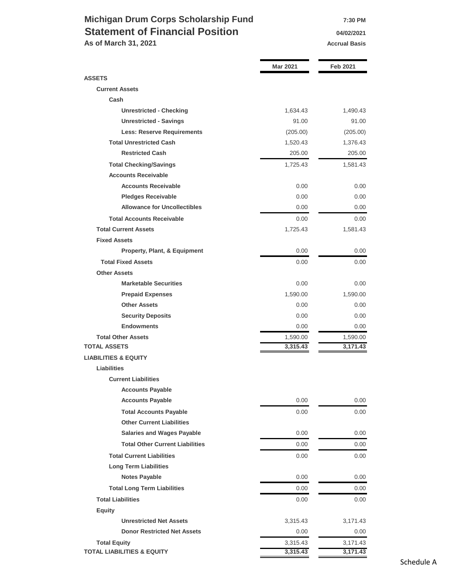# **Michigan Drum Corps Scholarship Fund 7:30 PM Statement of Financial Position 1976** 04/02/2021

**As of March 31, 2021 Accrual Basis Accrual Basis** 

|                                        | <b>Mar 2021</b> | Feb 2021 |
|----------------------------------------|-----------------|----------|
| <b>ASSETS</b>                          |                 |          |
| <b>Current Assets</b>                  |                 |          |
| Cash                                   |                 |          |
| <b>Unrestricted - Checking</b>         | 1,634.43        | 1,490.43 |
| <b>Unrestricted - Savings</b>          | 91.00           | 91.00    |
| <b>Less: Reserve Requirements</b>      | (205.00)        | (205.00) |
| <b>Total Unrestricted Cash</b>         | 1,520.43        | 1,376.43 |
| <b>Restricted Cash</b>                 | 205.00          | 205.00   |
| <b>Total Checking/Savings</b>          | 1,725.43        | 1,581.43 |
| <b>Accounts Receivable</b>             |                 |          |
| <b>Accounts Receivable</b>             | 0.00            | 0.00     |
| <b>Pledges Receivable</b>              | 0.00            | 0.00     |
| <b>Allowance for Uncollectibles</b>    | 0.00            | 0.00     |
| <b>Total Accounts Receivable</b>       | 0.00            | 0.00     |
| <b>Total Current Assets</b>            | 1,725.43        | 1,581.43 |
| <b>Fixed Assets</b>                    |                 |          |
| Property, Plant, & Equipment           | 0.00            | 0.00     |
| <b>Total Fixed Assets</b>              | 0.00            | 0.00     |
| <b>Other Assets</b>                    |                 |          |
| <b>Marketable Securities</b>           | 0.00            | 0.00     |
| <b>Prepaid Expenses</b>                | 1,590.00        | 1,590.00 |
| <b>Other Assets</b>                    | 0.00            | 0.00     |
| <b>Security Deposits</b>               | 0.00            | 0.00     |
| <b>Endowments</b>                      | 0.00            | 0.00     |
| <b>Total Other Assets</b>              | 1,590.00        | 1,590.00 |
| <b>TOTAL ASSETS</b>                    | 3,315.43        | 3,171.43 |
| <b>LIABILITIES &amp; EQUITY</b>        |                 |          |
| <b>Liabilities</b>                     |                 |          |
| <b>Current Liabilities</b>             |                 |          |
| <b>Accounts Payable</b>                |                 |          |
| <b>Accounts Payable</b>                | 0.00            | 0.00     |
| <b>Total Accounts Payable</b>          | 0.00            | $0.00\,$ |
| <b>Other Current Liabilities</b>       |                 |          |
| <b>Salaries and Wages Payable</b>      | 0.00            | 0.00     |
| <b>Total Other Current Liabilities</b> | 0.00            | 0.00     |
| <b>Total Current Liabilities</b>       | 0.00            | 0.00     |
| <b>Long Term Liabilities</b>           |                 |          |
| <b>Notes Payable</b>                   | 0.00            | 0.00     |
| <b>Total Long Term Liabilities</b>     | 0.00            | 0.00     |
| <b>Total Liabilities</b>               | 0.00            | $0.00\,$ |
| <b>Equity</b>                          |                 |          |
| <b>Unrestricted Net Assets</b>         | 3,315.43        | 3,171.43 |
| <b>Donor Restricted Net Assets</b>     | 0.00            | 0.00     |
| <b>Total Equity</b>                    | 3,315.43        | 3,171.43 |
| <b>TOTAL LIABILITIES &amp; EQUITY</b>  | 3,315.43        | 3,171.43 |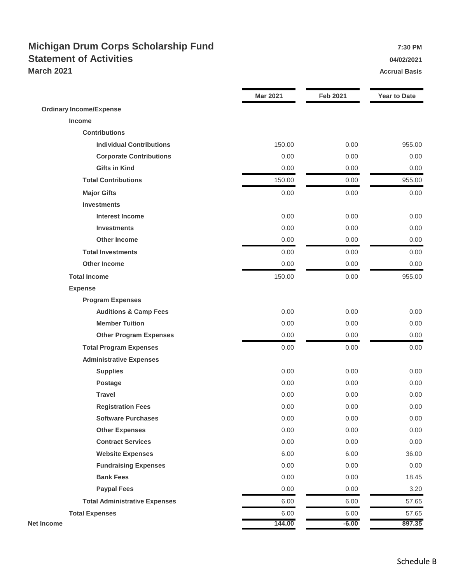### **Michigan Drum Corps Scholarship Fund 7:30 PM Statement of Activities 04/02/2021 March 2021 Accrual Basis Accrual Basis**

|                                      | <b>Mar 2021</b> | <b>Feb 2021</b> | <b>Year to Date</b> |
|--------------------------------------|-----------------|-----------------|---------------------|
| <b>Ordinary Income/Expense</b>       |                 |                 |                     |
| Income                               |                 |                 |                     |
| <b>Contributions</b>                 |                 |                 |                     |
| <b>Individual Contributions</b>      | 150.00          | 0.00            | 955.00              |
| <b>Corporate Contributions</b>       | 0.00            | 0.00            | 0.00                |
| <b>Gifts in Kind</b>                 | 0.00            | 0.00            | 0.00                |
| <b>Total Contributions</b>           | 150.00          | 0.00            | 955.00              |
| <b>Major Gifts</b>                   | 0.00            | 0.00            | 0.00                |
| <b>Investments</b>                   |                 |                 |                     |
| <b>Interest Income</b>               | 0.00            | 0.00            | 0.00                |
| <b>Investments</b>                   | 0.00            | 0.00            | 0.00                |
| <b>Other Income</b>                  | 0.00            | 0.00            | 0.00                |
| <b>Total Investments</b>             | 0.00            | 0.00            | 0.00                |
| <b>Other Income</b>                  | 0.00            | 0.00            | 0.00                |
| <b>Total Income</b>                  | 150.00          | 0.00            | 955.00              |
| <b>Expense</b>                       |                 |                 |                     |
| <b>Program Expenses</b>              |                 |                 |                     |
| <b>Auditions &amp; Camp Fees</b>     | 0.00            | 0.00            | 0.00                |
| <b>Member Tuition</b>                | 0.00            | 0.00            | 0.00                |
| <b>Other Program Expenses</b>        | 0.00            | 0.00            | 0.00                |
| <b>Total Program Expenses</b>        | 0.00            | 0.00            | 0.00                |
| <b>Administrative Expenses</b>       |                 |                 |                     |
| <b>Supplies</b>                      | 0.00            | 0.00            | 0.00                |
| Postage                              | 0.00            | 0.00            | 0.00                |
| <b>Travel</b>                        | 0.00            | 0.00            | 0.00                |
| <b>Registration Fees</b>             | 0.00            | 0.00            | 0.00                |
| <b>Software Purchases</b>            | 0.00            | 0.00            | 0.00                |
| <b>Other Expenses</b>                | 0.00            | 0.00            | 0.00                |
| <b>Contract Services</b>             | 0.00            | 0.00            | 0.00                |
| <b>Website Expenses</b>              | 6.00            | 6.00            | 36.00               |
| <b>Fundraising Expenses</b>          | 0.00            | 0.00            | 0.00                |
| <b>Bank Fees</b>                     | 0.00            | 0.00            | 18.45               |
| <b>Paypal Fees</b>                   | 0.00            | 0.00            | 3.20                |
| <b>Total Administrative Expenses</b> | 6.00            | 6.00            | 57.65               |
| <b>Total Expenses</b>                | 6.00            | 6.00            | 57.65               |
| <b>Net Income</b>                    | 144.00          | $-6.00$         | 897.35              |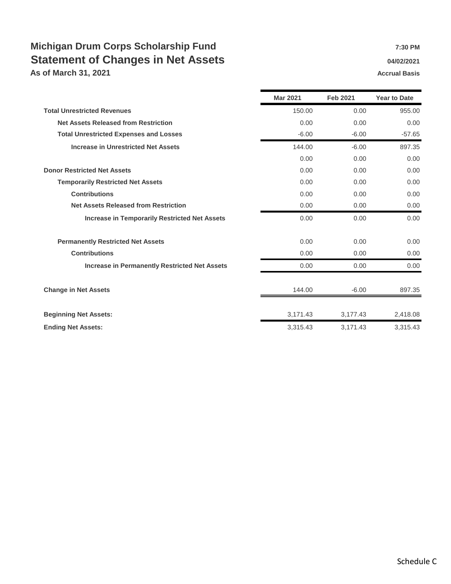# **Michigan Drum Corps Scholarship Fund 7:30 PM Statement of Changes in Net Assets Changes 10 AM 222021**

**As of March 31, 2021 Accrual Basis Accrual Basis Accrual Basis** 

|                                                      | <b>Mar 2021</b> | <b>Feb 2021</b> | <b>Year to Date</b> |
|------------------------------------------------------|-----------------|-----------------|---------------------|
| <b>Total Unrestricted Revenues</b>                   | 150.00          | 0.00            | 955.00              |
| <b>Net Assets Released from Restriction</b>          | 0.00            | 0.00            | 0.00                |
| <b>Total Unrestricted Expenses and Losses</b>        | $-6.00$         | $-6.00$         | $-57.65$            |
| <b>Increase in Unrestricted Net Assets</b>           | 144.00          | $-6.00$         | 897.35              |
|                                                      | 0.00            | 0.00            | 0.00                |
| <b>Donor Restricted Net Assets</b>                   | 0.00            | 0.00            | 0.00                |
| <b>Temporarily Restricted Net Assets</b>             | 0.00            | 0.00            | 0.00                |
| <b>Contributions</b>                                 | 0.00            | 0.00            | 0.00                |
| <b>Net Assets Released from Restriction</b>          | 0.00            | 0.00            | 0.00                |
| <b>Increase in Temporarily Restricted Net Assets</b> | 0.00            | 0.00            | 0.00                |
| <b>Permanently Restricted Net Assets</b>             | 0.00            | 0.00            | 0.00                |
| <b>Contributions</b>                                 | 0.00            | 0.00            | 0.00                |
| <b>Increase in Permanently Restricted Net Assets</b> | 0.00            | 0.00            | 0.00                |
| <b>Change in Net Assets</b>                          | 144.00          | $-6.00$         | 897.35              |
| <b>Beginning Net Assets:</b>                         | 3,171.43        | 3,177.43        | 2,418.08            |
| <b>Ending Net Assets:</b>                            | 3,315.43        | 3,171.43        | 3,315.43            |